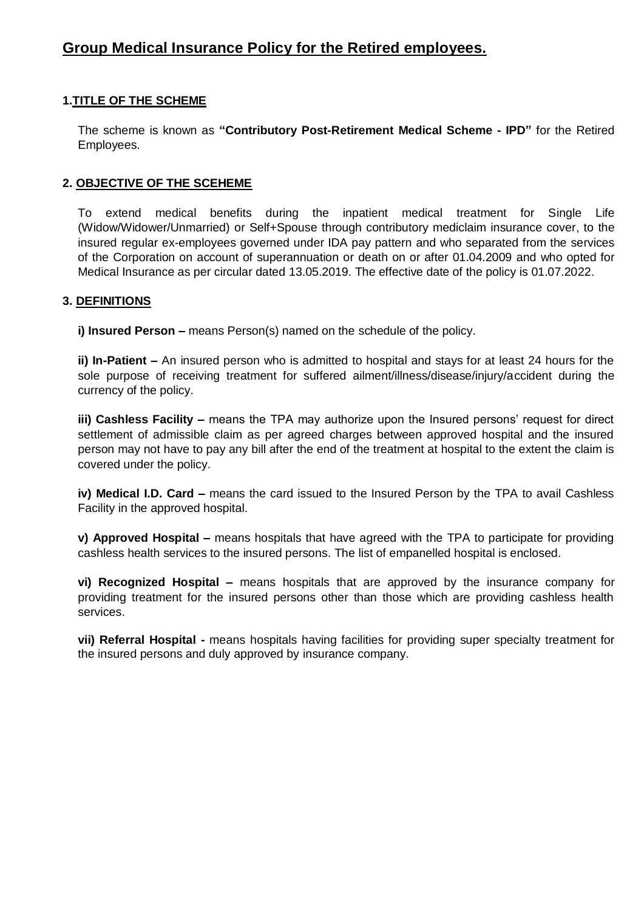# **1.TITLE OF THE SCHEME**

The scheme is known as **"Contributory Post-Retirement Medical Scheme - IPD"** for the Retired Employees.

# **2. OBJECTIVE OF THE SCEHEME**

To extend medical benefits during the inpatient medical treatment for Single Life (Widow/Widower/Unmarried) or Self+Spouse through contributory mediclaim insurance cover, to the insured regular ex-employees governed under IDA pay pattern and who separated from the services of the Corporation on account of superannuation or death on or after 01.04.2009 and who opted for Medical Insurance as per circular dated 13.05.2019. The effective date of the policy is 01.07.2022.

### **3. DEFINITIONS**

**i) Insured Person –** means Person(s) named on the schedule of the policy.

**ii) In-Patient –** An insured person who is admitted to hospital and stays for at least 24 hours for the sole purpose of receiving treatment for suffered ailment/illness/disease/injury/accident during the currency of the policy.

**iii) Cashless Facility –** means the TPA may authorize upon the Insured persons' request for direct settlement of admissible claim as per agreed charges between approved hospital and the insured person may not have to pay any bill after the end of the treatment at hospital to the extent the claim is covered under the policy.

**iv) Medical I.D. Card –** means the card issued to the Insured Person by the TPA to avail Cashless Facility in the approved hospital.

**v) Approved Hospital –** means hospitals that have agreed with the TPA to participate for providing cashless health services to the insured persons. The list of empanelled hospital is enclosed.

**vi) Recognized Hospital –** means hospitals that are approved by the insurance company for providing treatment for the insured persons other than those which are providing cashless health services.

**vii) Referral Hospital -** means hospitals having facilities for providing super specialty treatment for the insured persons and duly approved by insurance company.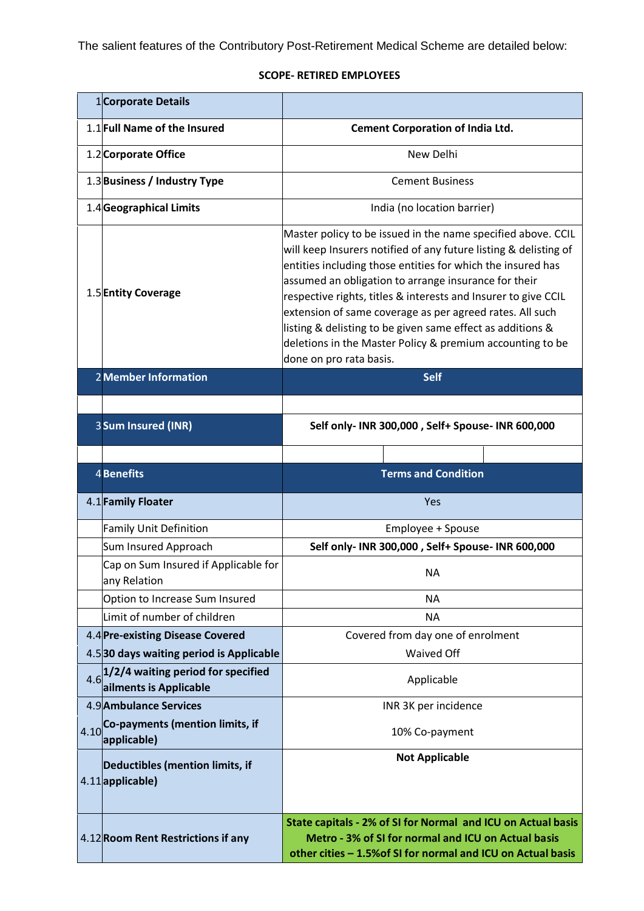The salient features of the Contributory Post-Retirement Medical Scheme are detailed below:

# **SCOPE- RETIRED EMPLOYEES**

|      | 1Corporate Details                                           |                                                                                                                                                                                                                                                                                                                                                                                                                                                                                                                                             |
|------|--------------------------------------------------------------|---------------------------------------------------------------------------------------------------------------------------------------------------------------------------------------------------------------------------------------------------------------------------------------------------------------------------------------------------------------------------------------------------------------------------------------------------------------------------------------------------------------------------------------------|
|      | 1.1 Full Name of the Insured                                 | <b>Cement Corporation of India Ltd.</b>                                                                                                                                                                                                                                                                                                                                                                                                                                                                                                     |
|      | 1.2 Corporate Office                                         | New Delhi                                                                                                                                                                                                                                                                                                                                                                                                                                                                                                                                   |
|      | 1.3 Business / Industry Type                                 | <b>Cement Business</b>                                                                                                                                                                                                                                                                                                                                                                                                                                                                                                                      |
|      | 1.4 Geographical Limits                                      | India (no location barrier)                                                                                                                                                                                                                                                                                                                                                                                                                                                                                                                 |
|      | 1.5 Entity Coverage                                          | Master policy to be issued in the name specified above. CCIL<br>will keep Insurers notified of any future listing & delisting of<br>entities including those entities for which the insured has<br>assumed an obligation to arrange insurance for their<br>respective rights, titles & interests and Insurer to give CCIL<br>extension of same coverage as per agreed rates. All such<br>listing & delisting to be given same effect as additions &<br>deletions in the Master Policy & premium accounting to be<br>done on pro rata basis. |
|      | <b>2 Member Information</b>                                  | <b>Self</b>                                                                                                                                                                                                                                                                                                                                                                                                                                                                                                                                 |
|      | 3 Sum Insured (INR)                                          | Self only- INR 300,000, Self+ Spouse- INR 600,000                                                                                                                                                                                                                                                                                                                                                                                                                                                                                           |
|      |                                                              |                                                                                                                                                                                                                                                                                                                                                                                                                                                                                                                                             |
|      | <b>4</b> Benefits                                            | <b>Terms and Condition</b>                                                                                                                                                                                                                                                                                                                                                                                                                                                                                                                  |
|      | 4.1 Family Floater                                           | Yes                                                                                                                                                                                                                                                                                                                                                                                                                                                                                                                                         |
|      | <b>Family Unit Definition</b>                                | Employee + Spouse                                                                                                                                                                                                                                                                                                                                                                                                                                                                                                                           |
|      | Sum Insured Approach                                         | Self only- INR 300,000, Self+ Spouse- INR 600,000                                                                                                                                                                                                                                                                                                                                                                                                                                                                                           |
|      | Cap on Sum Insured if Applicable for<br>any Relation         | <b>NA</b>                                                                                                                                                                                                                                                                                                                                                                                                                                                                                                                                   |
|      | Option to Increase Sum Insured                               | <b>NA</b>                                                                                                                                                                                                                                                                                                                                                                                                                                                                                                                                   |
|      | Limit of number of children                                  | <b>NA</b>                                                                                                                                                                                                                                                                                                                                                                                                                                                                                                                                   |
|      | 4.4 Pre-existing Disease Covered                             | Covered from day one of enrolment                                                                                                                                                                                                                                                                                                                                                                                                                                                                                                           |
|      | 4.530 days waiting period is Applicable                      | Waived Off                                                                                                                                                                                                                                                                                                                                                                                                                                                                                                                                  |
| 4.6  | 1/2/4 waiting period for specified<br>ailments is Applicable | Applicable                                                                                                                                                                                                                                                                                                                                                                                                                                                                                                                                  |
|      | 4.9 Ambulance Services                                       | INR 3K per incidence                                                                                                                                                                                                                                                                                                                                                                                                                                                                                                                        |
| 4.10 | Co-payments (mention limits, if<br>applicable)               | 10% Co-payment                                                                                                                                                                                                                                                                                                                                                                                                                                                                                                                              |
|      | Deductibles (mention limits, if<br>4.11 applicable)          | <b>Not Applicable</b>                                                                                                                                                                                                                                                                                                                                                                                                                                                                                                                       |
|      | 4.12 Room Rent Restrictions if any                           | State capitals - 2% of SI for Normal and ICU on Actual basis<br>Metro - 3% of SI for normal and ICU on Actual basis<br>other cities - 1.5% of SI for normal and ICU on Actual basis                                                                                                                                                                                                                                                                                                                                                         |